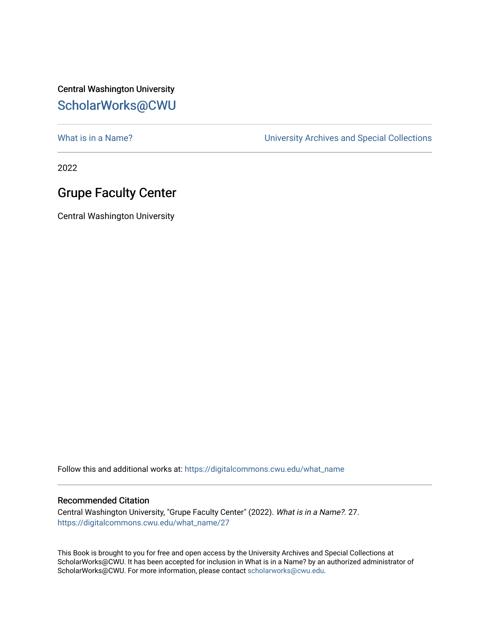## Central Washington University [ScholarWorks@CWU](https://digitalcommons.cwu.edu/)

What is in a Name?<br>
University Archives and Special Collections

2022

## Grupe Faculty Center

Central Washington University

Follow this and additional works at: [https://digitalcommons.cwu.edu/what\\_name](https://digitalcommons.cwu.edu/what_name?utm_source=digitalcommons.cwu.edu%2Fwhat_name%2F27&utm_medium=PDF&utm_campaign=PDFCoverPages) 

## Recommended Citation

Central Washington University, "Grupe Faculty Center" (2022). What is in a Name?. 27. [https://digitalcommons.cwu.edu/what\\_name/27](https://digitalcommons.cwu.edu/what_name/27?utm_source=digitalcommons.cwu.edu%2Fwhat_name%2F27&utm_medium=PDF&utm_campaign=PDFCoverPages) 

This Book is brought to you for free and open access by the University Archives and Special Collections at ScholarWorks@CWU. It has been accepted for inclusion in What is in a Name? by an authorized administrator of ScholarWorks@CWU. For more information, please contact [scholarworks@cwu.edu](mailto:scholarworks@cwu.edu).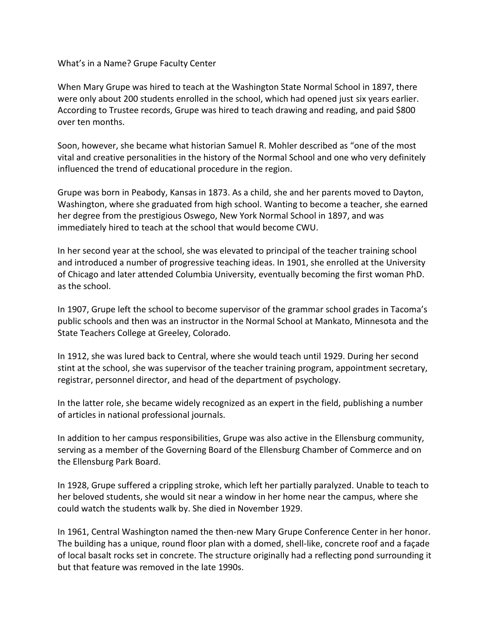What's in a Name? Grupe Faculty Center

When Mary Grupe was hired to teach at the Washington State Normal School in 1897, there were only about 200 students enrolled in the school, which had opened just six years earlier. According to Trustee records, Grupe was hired to teach drawing and reading, and paid \$800 over ten months.

Soon, however, she became what historian Samuel R. Mohler described as "one of the most vital and creative personalities in the history of the Normal School and one who very definitely influenced the trend of educational procedure in the region.

Grupe was born in Peabody, Kansas in 1873. As a child, she and her parents moved to Dayton, Washington, where she graduated from high school. Wanting to become a teacher, she earned her degree from the prestigious Oswego, New York Normal School in 1897, and was immediately hired to teach at the school that would become CWU.

In her second year at the school, she was elevated to principal of the teacher training school and introduced a number of progressive teaching ideas. In 1901, she enrolled at the University of Chicago and later attended Columbia University, eventually becoming the first woman PhD. as the school.

In 1907, Grupe left the school to become supervisor of the grammar school grades in Tacoma's public schools and then was an instructor in the Normal School at Mankato, Minnesota and the State Teachers College at Greeley, Colorado.

In 1912, she was lured back to Central, where she would teach until 1929. During her second stint at the school, she was supervisor of the teacher training program, appointment secretary, registrar, personnel director, and head of the department of psychology.

In the latter role, she became widely recognized as an expert in the field, publishing a number of articles in national professional journals.

In addition to her campus responsibilities, Grupe was also active in the Ellensburg community, serving as a member of the Governing Board of the Ellensburg Chamber of Commerce and on the Ellensburg Park Board.

In 1928, Grupe suffered a crippling stroke, which left her partially paralyzed. Unable to teach to her beloved students, she would sit near a window in her home near the campus, where she could watch the students walk by. She died in November 1929.

In 1961, Central Washington named the then-new Mary Grupe Conference Center in her honor. The building has a unique, round floor plan with a domed, shell-like, concrete roof and a façade of local basalt rocks set in concrete. The structure originally had a reflecting pond surrounding it but that feature was removed in the late 1990s.